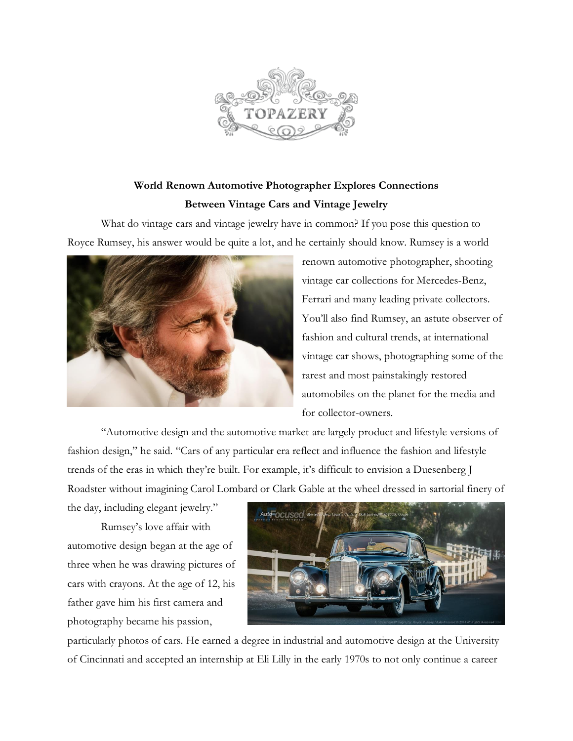

## **World Renown Automotive Photographer Explores Connections Between Vintage Cars and Vintage Jewelry**

What do vintage cars and vintage jewelry have in common? If you pose this question to Royce Rumsey, his answer would be quite a lot, and he certainly should know. Rumsey is a world



renown automotive photographer, shooting vintage car collections for Mercedes-Benz, Ferrari and many leading private collectors. You'll also find Rumsey, an astute observer of fashion and cultural trends, at international vintage car shows, photographing some of the rarest and most painstakingly restored automobiles on the planet for the media and for collector-owners.

"Automotive design and the automotive market are largely product and lifestyle versions of fashion design," he said. "Cars of any particular era reflect and influence the fashion and lifestyle trends of the eras in which they're built. For example, it's difficult to envision a Duesenberg J Roadster without imagining Carol Lombard or Clark Gable at the wheel dressed in sartorial finery of

the day, including elegant jewelry."

Rumsey's love affair with automotive design began at the age of three when he was drawing pictures of cars with crayons. At the age of 12, his father gave him his first camera and photography became his passion,



particularly photos of cars. He earned a degree in industrial and automotive design at the University of Cincinnati and accepted an internship at Eli Lilly in the early 1970s to not only continue a career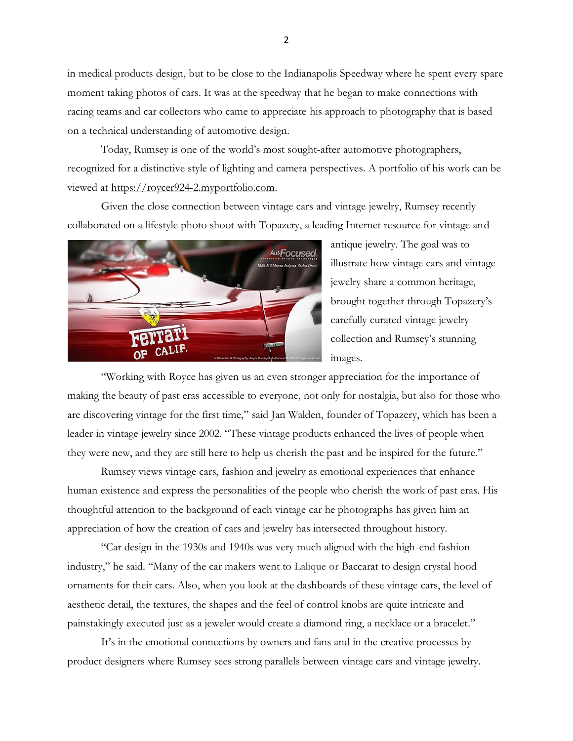in medical products design, but to be close to the Indianapolis Speedway where he spent every spare moment taking photos of cars. It was at the speedway that he began to make connections with racing teams and car collectors who came to appreciate his approach to photography that is based on a technical understanding of automotive design.

Today, Rumsey is one of the world's most sought-after automotive photographers, recognized for a distinctive style of lighting and camera perspectives. A portfolio of his work can be viewed at [https://roycer924-2.myportfolio.com.](https://roycer924-2.myportfolio.com/)

Given the close connection between vintage cars and vintage jewelry, Rumsey recently collaborated on a lifestyle photo shoot with Topazery, a leading Internet resource for vintage and



antique jewelry. The goal was to illustrate how vintage cars and vintage jewelry share a common heritage, brought together through Topazery's carefully curated vintage jewelry collection and Rumsey's stunning images.

"Working with Royce has given us an even stronger appreciation for the importance of making the beauty of past eras accessible to everyone, not only for nostalgia, but also for those who are discovering vintage for the first time," said Jan Walden, founder of Topazery, which has been a leader in vintage jewelry since 2002. "These vintage products enhanced the lives of people when they were new, and they are still here to help us cherish the past and be inspired for the future."

Rumsey views vintage cars, fashion and jewelry as emotional experiences that enhance human existence and express the personalities of the people who cherish the work of past eras. His thoughtful attention to the background of each vintage car he photographs has given him an appreciation of how the creation of cars and jewelry has intersected throughout history.

"Car design in the 1930s and 1940s was very much aligned with the high-end fashion industry," he said. "Many of the car makers went to Lalique or Baccarat to design crystal hood ornaments for their cars. Also, when you look at the dashboards of these vintage cars, the level of aesthetic detail, the textures, the shapes and the feel of control knobs are quite intricate and painstakingly executed just as a jeweler would create a diamond ring, a necklace or a bracelet."

It's in the emotional connections by owners and fans and in the creative processes by product designers where Rumsey sees strong parallels between vintage cars and vintage jewelry.